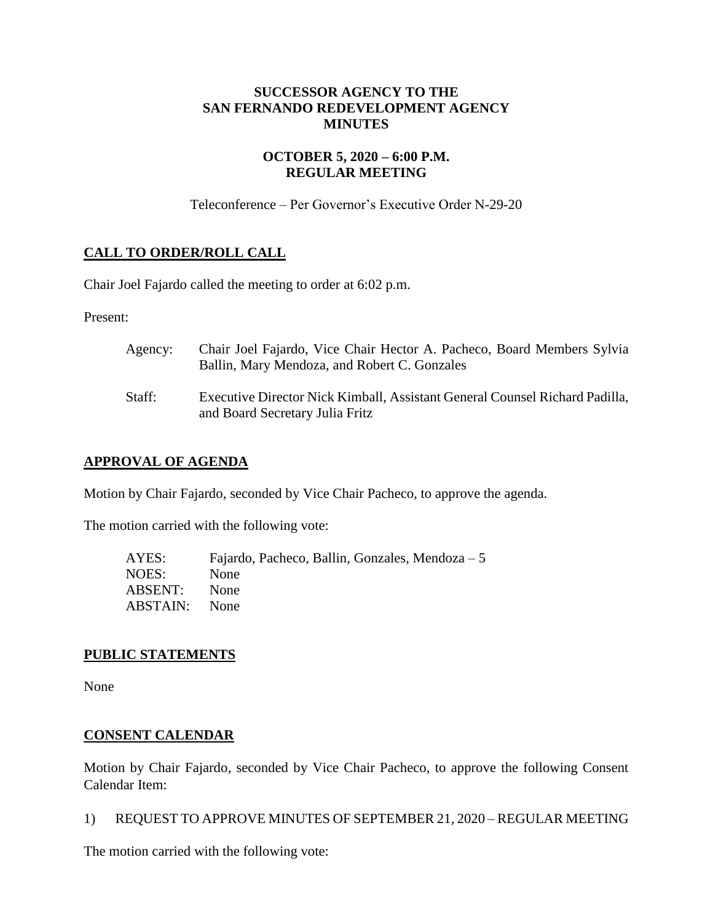## **SUCCESSOR AGENCY TO THE SAN FERNANDO REDEVELOPMENT AGENCY MINUTES**

## **OCTOBER 5, 2020 – 6:00 P.M. REGULAR MEETING**

Teleconference – Per Governor's Executive Order N-29-20

## **CALL TO ORDER/ROLL CALL**

Chair Joel Fajardo called the meeting to order at 6:02 p.m.

Present:

| Agency: | Chair Joel Fajardo, Vice Chair Hector A. Pacheco, Board Members Sylvia<br>Ballin, Mary Mendoza, and Robert C. Gonzales |
|---------|------------------------------------------------------------------------------------------------------------------------|
| Staff:  | Executive Director Nick Kimball, Assistant General Counsel Richard Padilla,<br>and Board Secretary Julia Fritz         |

## **APPROVAL OF AGENDA**

Motion by Chair Fajardo, seconded by Vice Chair Pacheco, to approve the agenda.

The motion carried with the following vote:

| AYES:    | Fajardo, Pacheco, Ballin, Gonzales, Mendoza $-5$ |
|----------|--------------------------------------------------|
| NOES:    | None                                             |
| ABSENT:  | None                                             |
| ABSTAIN: | <b>None</b>                                      |

### **PUBLIC STATEMENTS**

None

### **CONSENT CALENDAR**

Motion by Chair Fajardo, seconded by Vice Chair Pacheco, to approve the following Consent Calendar Item:

1) REQUEST TO APPROVE MINUTES OF SEPTEMBER 21, 2020 – REGULAR MEETING

The motion carried with the following vote: